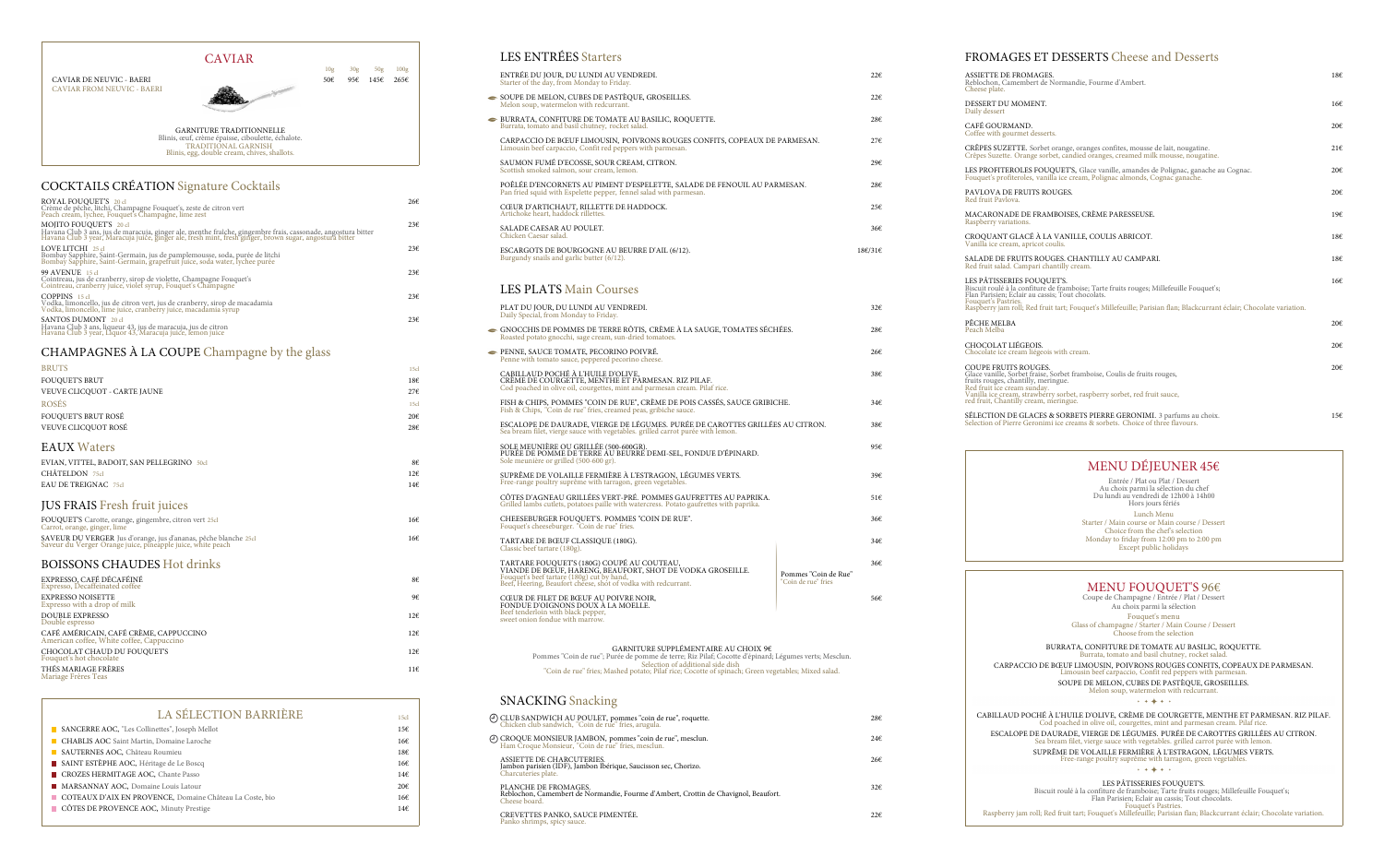### CAVIAR

10g 30g 50g 100g



CAVIAR FROM NEUVIC - BAERI

# COCKTAILS CRÉATION Signature Cocktails

| ROYAL FOUQUET'S 20 cl<br>Crème de pêche, litchi, Champagne Fouquet's, zeste de citron vert<br>Peach cream, lychee, Fouquet's Champagne, lime zest                                                                                                 | 26€ |
|---------------------------------------------------------------------------------------------------------------------------------------------------------------------------------------------------------------------------------------------------|-----|
| MOJITO FOUQUET'S 20 cl<br>Havana Club 3 ans, jus de maracuja, ginger ale, menthe fraîche, gingembre frais, cassonade, angostura bitter<br>Havana Club 3 year, Maracuja juice, ginger ale, fresh mint, fresh ginger, brown sugar, angostura bitter | 236 |
| LOVE LITCHI 25 cl<br>Bombay Sapphire, Saint-Germain, jus de pamplemousse, soda, purée de litchi<br>Bombay Sapphire, Saint-Germain, grapefruit juice, soda water, lychee purée                                                                     | 236 |
| <b>99 AVENUE</b> 15 cl<br>Cointreau, jus de cranberry, sirop de violette, Champagne Fouquet's Cointreau, cranberry juice, violet syrup, Fouquet's Champagne                                                                                       | 236 |
| $COPPINS$ 15 cl<br>Vodka, limoncello, jus de citron vert, jus de cranberry, sirop de macadamia<br>Vodka, limoncello, lime juice, cranberty juice, macadamia syrup                                                                                 | 236 |
| <b>SANTOS DUMONT</b> 20 cl<br>Havana Club 3 ans, liqueur 43, jus de maracuja, jus de citron<br>Havana Club 3 year, Liquor 43, Maracuja juice, lemon juice                                                                                         | 236 |

- SOUPE DE MELON, CUBES DE PASTÈQUE, GROS Melon soup, watermelon with redcurrant.
- $\bullet$ BURRATA, CONFITURE DE TOMATE AU BASIL Burrata, tomato and basil chutney, rocket salad.

CARPACCIO DE BŒUF LIMOUSIN, POIVRONS Limousin beef carpaccio, Confit red peppers with parameters

## CHAMPAGNES À LA COUPE Champagne by the glass

SAUMON FUMÉ D'ECOSSE, SOUR CREAM, CITI Scottish smoked salmon, sour cream, lemon.

POÊLÉE D'ENCORNETS AU PIMENT D'ESPELET Pan fried squid with Espelette pepper, fennel salad

CŒUR D'ARTICHAUT, RILLETTE DE HADDOC Artichoke heart, haddock rillettes.

SALADE CAESAR AU POULET. Chicken Caesar salad.

ESCARGOTS DE BOURGOGNE AU BEURRE D'AIL (6/12). 18€/31€ Burgundy snails and garlic butter (6/12).

PLAT DU JOUR, DU LUNDI AU VENDREDI.  $32\epsilon$ Daily Special, from Monday to Friday.

- GNOCCHIS DE POMMES DE TERRE RÔTIS, CF Roasted potato gnocchi, sage cream, sun-dried tom
- **PENNE, SAUCE TOMATE, PECORINO POIVRÉ** Penne with tomato sauce, peppered pecorino chees

| <b>BRUTS</b>                                                                                                                   | 15cl |
|--------------------------------------------------------------------------------------------------------------------------------|------|
| <b>FOUQUET'S BRUT</b>                                                                                                          | 18€  |
| VEUVE CLICQUOT - CARTE JAUNE                                                                                                   | 276  |
| <b>ROSÉS</b>                                                                                                                   | 15c  |
| <b>FOUQUET'S BRUT ROSÉ</b>                                                                                                     | 20€  |
| VEUVE CLICQUOT ROSÉ                                                                                                            | 28€  |
| <b>EAUX Waters</b>                                                                                                             |      |
| EVIAN, VITTEL, BADOIT, SAN PELLEGRINO 50cl                                                                                     | 8€   |
| CHÂTELDON 75cl                                                                                                                 | 126  |
| EAU DE TREIGNAC 75cl                                                                                                           | 146  |
| <b>JUS FRAIS Fresh fruit juices</b>                                                                                            |      |
| FOUQUET'S Carotte, orange, gingembre, citron vert 25cl<br>Carrot, orange, ginger, lime                                         | 166  |
| SAVEUR DU VERGER Jus d'orange, jus d'ananas, pêche blanche 25cl<br>Saveur du Verger Orange juice, pineapple juice, white peach | 166  |
| <b>BOISSONS CHAUDES Hot drinks</b>                                                                                             |      |
| EXPRESSO, CAFÉ DÉCAFÉINÉ<br>Expresso, Decaffeinated coffee                                                                     | 8€   |
| <b>EXPRESSO NOISETTE</b><br>Expresso with a drop of milk                                                                       | 9€   |
| <b>DOUBLE EXPRESSO</b><br>Double espresso                                                                                      | 126  |
| CAFÉ AMÉRICAIN, CAFÉ CRÈME, CAPPUCCINO<br>American coffee, White coffee, Cappuccino                                            | 126  |
| CHOCOLAT CHAUD DU FOUQUET'S<br>Fouquet's hot chocolate                                                                         | 126  |
| THÉS MARIAGE FRÈRES                                                                                                            | 11E  |

Mariage Frères Teas

### LES ENTRÉES Starters

ENTRÉE DU JOUR, DU LUNDI AU VENDREDI. 22€ Starter of the day, from Monday to Friday.

CŒUR DE FILET DE BŒUF AU POIVRE NOIR, FONDUE D'OIGNONS DOUX À LA MOELLE. Beef tenderloin with black pepper, sweet onion fondue with marrow.

> Pommes "Coin de rue"; Purée de pomme "Coin de rue" fries; Mashed potato; F

### SNACKING Snacking

CREVETTES PANKO, SAUCE PIMENTÉE.  $22\epsilon$ Panko shrimps, spicy sauce.

|                                                       | $22 \epsilon$ |
|-------------------------------------------------------|---------------|
| OSEILLES.                                             | $22 \epsilon$ |
| LIC, ROQUETTE.                                        | 28€           |
| S ROUGES CONFITS, COPEAUX DE PARMESAN.<br>armesan.    | 276           |
| 'RON.                                                 | 29€           |
| TTE, SALADE DE FENOUIL AU PARMESAN.<br>with parmesan. | 28€           |
| CK.                                                   | 256           |
|                                                       | 36€           |
| $ATT$ $(713)$                                         | $100121c$     |

#### LES PLATS Main Courses

| ASSIETTE DE FROMAGES.<br>Reblochon, Camembert de Normandie, Fourme d'Ambert.<br>Cheese plate.                                                                                                                                                                                                                                                                                                                                                     |            |
|---------------------------------------------------------------------------------------------------------------------------------------------------------------------------------------------------------------------------------------------------------------------------------------------------------------------------------------------------------------------------------------------------------------------------------------------------|------------|
|                                                                                                                                                                                                                                                                                                                                                                                                                                                   | 18€        |
| DESSERT DU MOMENT.<br>Daily dessert                                                                                                                                                                                                                                                                                                                                                                                                               | 166        |
| CAFÉ GOURMAND.<br>Coffee with gourmet desserts.                                                                                                                                                                                                                                                                                                                                                                                                   | 206        |
| CRÊPES SUZETTE. Sorbet orange, oranges confites, mousse de lait, nougatine.<br>Crêpes Suzette. Orange sorbet, candied oranges, creamed milk mousse, nougatine.                                                                                                                                                                                                                                                                                    | 216        |
| LES PROFITEROLES FOUQUET'S, Glace vanille, amandes de Polignac, ganache au Cognac.<br>Fouquet's profiteroles, vanilla ice cream, Polignac almonds, Cognac ganache.                                                                                                                                                                                                                                                                                | 206        |
| PAVLOVA DE FRUITS ROUGES.<br>Red fruit Pavlova.                                                                                                                                                                                                                                                                                                                                                                                                   |            |
| MACARONADE DE FRAMBOISES, CRÈME PARESSEUSE.<br>Raspberry variations.                                                                                                                                                                                                                                                                                                                                                                              | 196        |
| CROQUANT GLACÉ À LA VANILLE, COULIS ABRICOT.<br>Vanilla ice cream, apricot coulis.                                                                                                                                                                                                                                                                                                                                                                | 186        |
| SALADE DE FRUITS ROUGES. CHANTILLY AU CAMPARI.<br>Red fruit salad. Campari chantilly cream.                                                                                                                                                                                                                                                                                                                                                       | 18€        |
| LES PÂTISSERIES FOUQUET'S.<br>Biscuit roulé à la confiture de framboise; Tarte fruits rouges; Millefeuille Fouquet's; Flan Parisien; Eclair au cassis; Tout chocolats.<br>Fouquet's Pastries.                                                                                                                                                                                                                                                     | 16€        |
| Raspberry jam roll; Red fruit tart; Fouquet's Millefeuille; Parisian flan; Blackcurrant éclair; Chocolate variation.<br>PÊCHE MELBA                                                                                                                                                                                                                                                                                                               | 20€        |
| Peach Melba<br>CHOCOLAT LIÉGEOIS.                                                                                                                                                                                                                                                                                                                                                                                                                 | 20€        |
| COUPE FRUITS ROUGES.<br>Glace vanille, Sorbet fraise, Sorbet framboise, Coulis de fruits rouges,<br>fruits rouges, chantilly, meringue.<br>Red fruit ice cream sunday.<br>Vanilla ice cream, strawberry sorbet, raspberry sorbet, red fruit sauce,<br>red fruit, Chantilly cream, meringue.<br>SÉLECTION DE GLACES & SORBETS PIERRE GERONIMI. 3 parfums au choix.<br>Selection of Pierre Geronimi ice creams & sorbets. Choice of three flavours. | 20€<br>156 |
| MENU DÉJEUNER 45€                                                                                                                                                                                                                                                                                                                                                                                                                                 |            |
|                                                                                                                                                                                                                                                                                                                                                                                                                                                   |            |
| Entrée / Plat ou Plat / Dessert<br>Au choix parmi la sélection du chef<br>Du lundi au vendredi de 12h00 à 14h00<br>Hors jours fériés                                                                                                                                                                                                                                                                                                              |            |
| Lunch Menu<br>Starter / Main course or Main course / Dessert<br>Choice from the chef's selection<br>Monday to friday from 12:00 pm to 2:00 pm<br>Except public holidays                                                                                                                                                                                                                                                                           |            |
| MENU FOUQUET'S 96€<br>Coupe de Champagne / Entrée / Plat / Dessert<br>Au choix parmi la sélection<br>Fouquet's menu                                                                                                                                                                                                                                                                                                                               |            |
| Glass of champagne / Starter / Main Course / Dessert<br>Choose from the selection                                                                                                                                                                                                                                                                                                                                                                 |            |
| BURRATA, CONFITURE DE TOMATE AU BASILIC, ROQUETTE.<br>Burrata, tomato and basil chutney, rocket salad.                                                                                                                                                                                                                                                                                                                                            |            |
| CARPACCIO DE BŒUF LIMOUSIN, POIVRONS ROUGES CONFITS, COPEAUX DE PARMESAN.<br>Limousin beef carpaccio, Confit red peppers with parmesan.                                                                                                                                                                                                                                                                                                           |            |
| SOUPE DE MELON, CUBES DE PASTÈQUE, GROSEILLES.<br>Melon soup, watermelon with redcurrant.<br>$+ + + + +$                                                                                                                                                                                                                                                                                                                                          |            |

| CLUB SANDWICH AU POULET, pommes "coin de rue", roquette.<br>Chicken club sandwich, "Coin de rue" fries, arugula.             | 28€          |
|------------------------------------------------------------------------------------------------------------------------------|--------------|
| CROQUE MONSIEUR JAMBON, pommes "coin de rue", mesclun.<br>Ham Croque Monsieur, "Coin de rue" fries, mesclun.                 | 24€          |
| ASSIETTE DE CHARCUTERIES.<br>Jambon parisien (IDF), Jambon Ibérique, Saucisson sec, Chorizo.<br>Charcuteries plate.          | 26€          |
| PLANCHE DE FROMAGES.<br>Reblochon, Camembert de Normandie, Fourme d'Ambert, Crottin de Chavignol, Beaufort.<br>Cheese board. | $32\epsilon$ |
|                                                                                                                              |              |

Chicken club sandwich, "Coin de rue" fries, arugula.

Ham Croque Monsieur, "Coin de rue" fries, mesclun.

#### FROMAGES ET DESSERTS Cheese and Desserts

| Daily Special, from Monday to Friday.                                                                                                                                                                                    |                                             |     |
|--------------------------------------------------------------------------------------------------------------------------------------------------------------------------------------------------------------------------|---------------------------------------------|-----|
| GNOCCHIS DE POMMES DE TERRE RÔTIS, CRÈME À LA SAUGE, TOMATES SÉCHÉES.<br>Roasted potato gnocchi, sage cream, sun-dried tomatoes.                                                                                         |                                             | 28€ |
| PENNE, SAUCE TOMATE, PECORINO POIVRÉ.<br>Penne with tomato sauce, peppered pecorino cheese.                                                                                                                              |                                             | 266 |
| CABILLAUD POCHÉ À L'HUILE D'OLIVE,<br>CRÈME DE COURGETTE, MENTHE ET PARMESAN. RIZ PILAF.<br>Cod poached in olive oil, courgettes, mint and parmesan cream. Pilaf rice.                                                   |                                             | 38€ |
| FISH & CHIPS, POMMES "COIN DE RUE", CRÈME DE POIS CASSÉS, SAUCE GRIBICHE.<br>Fish & Chips, "Coin de rue" fries, creamed peas, gribiche sauce.                                                                            |                                             | 34€ |
| ESCALOPE DE DAURADE, VIERGE DE LÉGUMES. PURÉE DE CAROTTES GRILLÉES AU CITRON.<br>Sea bream filet, vierge sauce with vegetables. grilled carrot purée with lemon.                                                         |                                             | 38€ |
| SOLE MEUNIÈRE OU GRILLÉE (500-600GR).<br>PURÉE DE POMME DE TERRE ÀU BEURRÉ DEMI-SEL, FONDUE D'ÉPINARD.<br>Sole meunière or grilled (500-600 gr).                                                                         |                                             | 95€ |
| SUPRÊME DE VOLAILLE FERMIÈRE À L'ESTRAGON, LÉGUMES VERTS.<br>Free-range poultry suprême with tarragon, green vegetables.                                                                                                 |                                             |     |
| CÔTES D'AGNEAU GRILLÉES VERT-PRÉ. POMMES GAUFRETTES AU PAPRIKA.<br>Grilled lambs cutlets, potatoes paille with watercress. Potato gaufrettes with paprika.                                                               |                                             |     |
| CHEESEBURGER FOUQUET'S. POMMES "COIN DE RUE".<br>Fouquet's cheeseburger. "Coin de rue" fries.                                                                                                                            |                                             | 36€ |
| TARTARE DE BŒUF CLASSIQUE (180G).<br>Classic beef tartare (180g).                                                                                                                                                        |                                             | 34€ |
| TARTARE FOUQUET'S (180G) COUPÉ AU COUTEAU,<br>VIANDE DE BŒUF, HARENG, BEAUFORT, SHOT DE VODKA GROSEILLE.<br>Fouquet's beef tartare (180g) cut by hand,<br>Beef, Heering, Beaufort cheese, shot of vodka with redcurrant. | Pommes "Coin de Rue"<br>"Coin de rue" fries | 36€ |
| CŒUR DE FILET DE BŒUF AU POIVRE NOIR,                                                                                                                                                                                    |                                             | 56€ |

#### GARNITURE TRADITIONNELLE Blinis, œuf, crème épaisse, ciboulette, échalote. TRADITIONAL GARNISH Blinis, egg, double cream, chives, shallots.

| <b>LA SÉLECTION BARRIÈRE</b>                             |      |
|----------------------------------------------------------|------|
|                                                          | 15cl |
| SANCERRE AOC, "Les Collinettes", Joseph Mellot           | 15€  |
| <b>CHABLIS AOC</b> Saint Martin, Domaine Laroche         | 16€  |
| SAUTERNES AOC, Château Roumieu                           | 18€  |
| SAINT ESTÈPHE AOC, Héritage de Le Boscq                  | 16€  |
| CROZES HERMITAGE AOC, Chante Passo                       | 146  |
| MARSANNAY AOC, Domaine Louis Latour                      | 20€  |
| COTEAUX D'AIX EN PROVENCE, Domaine Château La Coste, bio | 166  |
| CÔTES DE PROVENCE AOC, Minuty Prestige                   | 146  |

Cod poached in olive oil, courgettes, mint and parmesan cream. Pilaf rice. ESCALOPE DE DAURADE, VIERGE DE LÉGUMES. PURÉE DE CAROTTES GRILLÉES AU CITRON. Sea bream filet, vierge sauce with vegetables. grilled carrot purée with lemon. SUPRÊME DE VOLAILLE FERMIÈRE À L'ESTRAGON, LÉGUMES VERTS.

Free-range poultry suprême with tarragon, green vegetables.

 $+ + + + + +$ 

LES PÂTISSERIES FOUQUET'S. Biscuit roulé à la confiture de framboise; Tarte fruits rouges; Millefeuille Fouquet's; Flan Parisien; Eclair au cassis; Tout chocolats. Fouquet's Pastries. Raspberry jam roll; Red fruit tart; Fouquet's Millefeuille; Parisian flan; Blackcurrant éclair; Chocolate variation.



#### GARNITURE SUPPLÉMENTAIRE AU CHOIX 9€

| mme de terre; Riz Pilaf; Cocotte d'épinard; Légumes verts; Mesclun. |  |
|---------------------------------------------------------------------|--|
| Selection of additional side dish                                   |  |
| ato; Pilaf rice; Cocotte of spinach; Green vegetables; Mixed salad. |  |
|                                                                     |  |